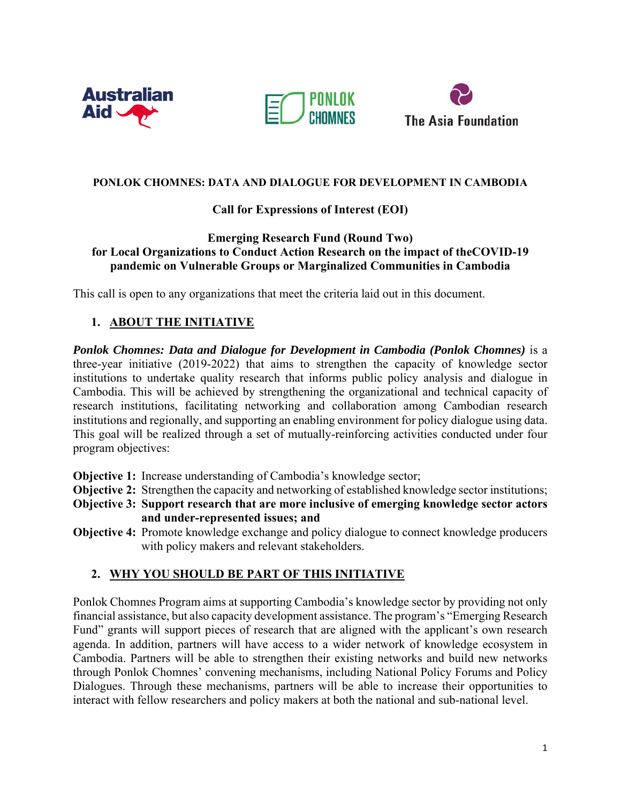





### **PONLOK CHOMNES: DATA AND DIALOGUE FOR DEVELOPMENT IN CAMBODIA**

### **Call for Expressions of Interest (EOI)**

### **Emerging Research Fund (Round Two) for Local Organizations to Conduct Action Research on the impact of theCOVID-19 pandemic on Vulnerable Groups or Marginalized Communities in Cambodia**

This call is open to any organizations that meet the criteria laid out in this document.

# **1. ABOUT THE INITIATIVE**

**Ponlok Chomnes: Data and Dialogue for Development in Cambodia (Ponlok Chomnes)** is a three-year initiative (2019-2022) that aims to strengthen the capacity of knowledge sector institutions to undertake quality research that informs public policy analysis and dialogue in Cambodia. This will be achieved by strengthening the organizational and technical capacity of research institutions, facilitating networking and collaboration among Cambodian research institutions and regionally, and supporting an enabling environment for policy dialogue using data. This goal will be realized through a set of mutually-reinforcing activities conducted under four program objectives:

**Objective 1:** Increase understanding of Cambodia's knowledge sector;

- **Objective 2:** Strengthen the capacity and networking of established knowledge sector institutions;
- **Objective 3: Support research that are more inclusive of emerging knowledge sector actors and under-represented issues; and**
- **Objective 4:** Promote knowledge exchange and policy dialogue to connect knowledge producers with policy makers and relevant stakeholders.

# **2. WHY YOU SHOULD BE PART OF THIS INITIATIVE**

Ponlok Chomnes Program aims at supporting Cambodia's knowledge sector by providing not only financial assistance, but also capacity development assistance. The program's "Emerging Research Fund" grants will support pieces of research that are aligned with the applicant's own research agenda. In addition, partners will have access to a wider network of knowledge ecosystem in Cambodia. Partners will be able to strengthen their existing networks and build new networks through Ponlok Chomnes' convening mechanisms, including National Policy Forums and Policy Dialogues. Through these mechanisms, partners will be able to increase their opportunities to interact with fellow researchers and policy makers at both the national and sub-national level.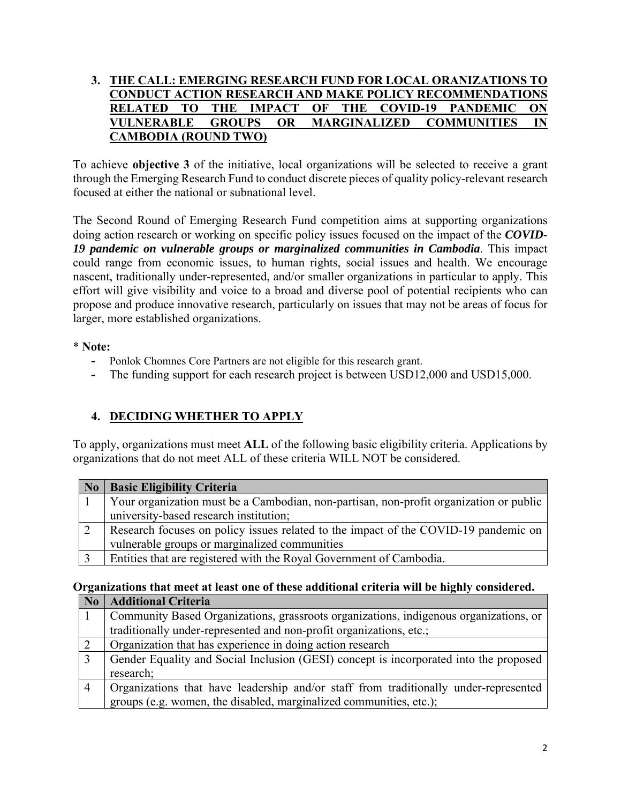### **3. THE CALL: EMERGING RESEARCH FUND FOR LOCAL ORANIZATIONS TO CONDUCT ACTION RESEARCH AND MAKE POLICY RECOMMENDATIONS RELATED TO THE IMPACT OF THE COVID-19 PANDEMIC ON VULNERABLE GROUPS OR MARGINALIZED COMMUNITIES IN CAMBODIA (ROUND TWO)**

To achieve **objective 3** of the initiative, local organizations will be selected to receive a grant through the Emerging Research Fund to conduct discrete pieces of quality policy-relevant research focused at either the national or subnational level.

The Second Round of Emerging Research Fund competition aims at supporting organizations doing action research or working on specific policy issues focused on the impact of the *COVID-19 pandemic on vulnerable groups or marginalized communities in Cambodia*. This impact could range from economic issues, to human rights, social issues and health. We encourage nascent, traditionally under-represented, and/or smaller organizations in particular to apply. This effort will give visibility and voice to a broad and diverse pool of potential recipients who can propose and produce innovative research, particularly on issues that may not be areas of focus for larger, more established organizations.

### \* **Note:**

- **-** Ponlok Chomnes Core Partners are not eligible for this research grant.
- The funding support for each research project is between USD12,000 and USD15,000.

# **4. DECIDING WHETHER TO APPLY**

To apply, organizations must meet **ALL** of the following basic eligibility criteria. Applications by organizations that do not meet ALL of these criteria WILL NOT be considered.

| No. | <b>Basic Eligibility Criteria</b>                                                      |  |
|-----|----------------------------------------------------------------------------------------|--|
|     | Your organization must be a Cambodian, non-partisan, non-profit organization or public |  |
|     | university-based research institution;                                                 |  |
|     | Research focuses on policy issues related to the impact of the COVID-19 pandemic on    |  |
|     | vulnerable groups or marginalized communities                                          |  |
|     | Entities that are registered with the Royal Government of Cambodia.                    |  |

# **Organizations that meet at least one of these additional criteria will be highly considered.**

| N <sub>0</sub> | <b>Additional Criteria</b>                                                            |  |
|----------------|---------------------------------------------------------------------------------------|--|
|                | Community Based Organizations, grassroots organizations, indigenous organizations, or |  |
|                | traditionally under-represented and non-profit organizations, etc.;                   |  |
|                | Organization that has experience in doing action research                             |  |
|                | Gender Equality and Social Inclusion (GESI) concept is incorporated into the proposed |  |
|                | research;                                                                             |  |
| 4              | Organizations that have leadership and/or staff from traditionally under-represented  |  |
|                | groups (e.g. women, the disabled, marginalized communities, etc.);                    |  |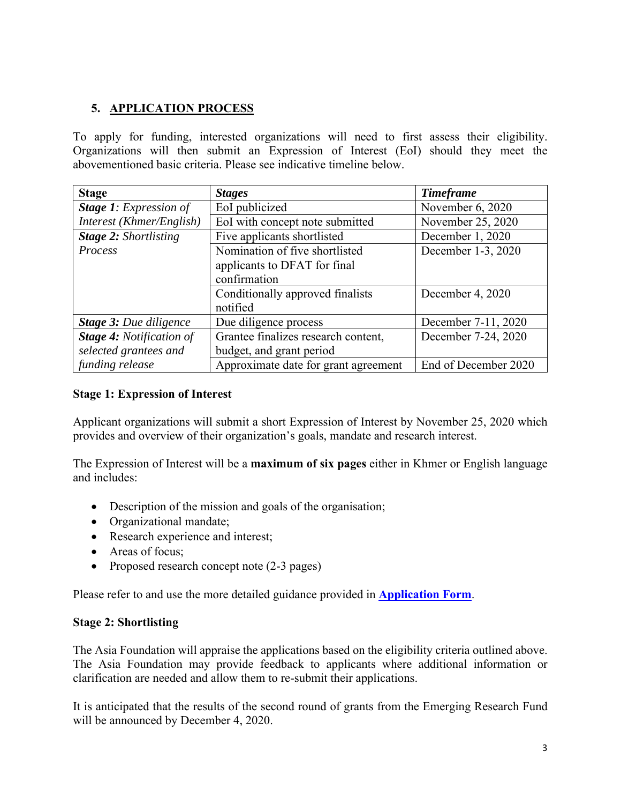# **5. APPLICATION PROCESS**

To apply for funding, interested organizations will need to first assess their eligibility. Organizations will then submit an Expression of Interest (EoI) should they meet the abovementioned basic criteria. Please see indicative timeline below.

| <b>Stage</b>                    | <b>Stages</b>                        | <b>Timeframe</b>     |
|---------------------------------|--------------------------------------|----------------------|
| <b>Stage 1:</b> Expression of   | EoI publicized                       | November 6, 2020     |
| Interest (Khmer/English)        | EoI with concept note submitted      | November 25, 2020    |
| <b>Stage 2: Shortlisting</b>    | Five applicants shortlisted          | December 1, 2020     |
| Process                         | Nomination of five shortlisted       | December 1-3, 2020   |
|                                 | applicants to DFAT for final         |                      |
|                                 | confirmation                         |                      |
|                                 | Conditionally approved finalists     | December 4, 2020     |
|                                 | notified                             |                      |
| <b>Stage 3: Due diligence</b>   | Due diligence process                | December 7-11, 2020  |
| <b>Stage 4:</b> Notification of | Grantee finalizes research content,  | December 7-24, 2020  |
| selected grantees and           | budget, and grant period             |                      |
| funding release                 | Approximate date for grant agreement | End of December 2020 |

### **Stage 1: Expression of Interest**

Applicant organizations will submit a short Expression of Interest by November 25, 2020 which provides and overview of their organization's goals, mandate and research interest.

The Expression of Interest will be a **maximum of six pages** either in Khmer or English language and includes:

- Description of the mission and goals of the organisation;
- Organizational mandate;
- Research experience and interest;
- Areas of focus;
- Proposed research concept note (2-3 pages)

Please refer to and use the more detailed guidance provided in **Application Form**.

### **Stage 2: Shortlisting**

The Asia Foundation will appraise the applications based on the eligibility criteria outlined above. The Asia Foundation may provide feedback to applicants where additional information or clarification are needed and allow them to re-submit their applications.

It is anticipated that the results of the second round of grants from the Emerging Research Fund will be announced by December 4, 2020.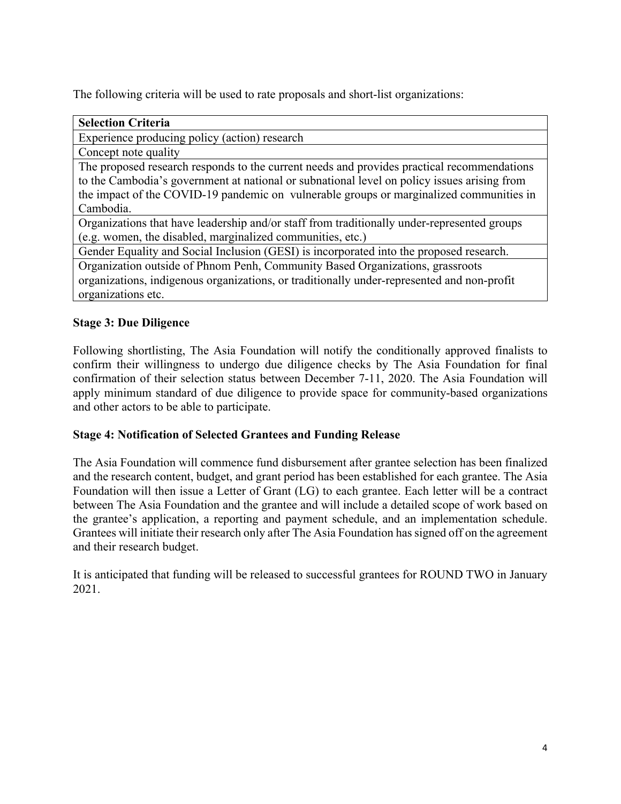The following criteria will be used to rate proposals and short-list organizations:

| <b>Selection Criteria</b>                                                                   |  |  |
|---------------------------------------------------------------------------------------------|--|--|
| Experience producing policy (action) research                                               |  |  |
| Concept note quality                                                                        |  |  |
| The proposed research responds to the current needs and provides practical recommendations  |  |  |
| to the Cambodia's government at national or subnational level on policy issues arising from |  |  |
| the impact of the COVID-19 pandemic on vulnerable groups or marginalized communities in     |  |  |
| Cambodia.                                                                                   |  |  |
| Organizations that have leadership and/or staff from traditionally under-represented groups |  |  |
| (e.g. women, the disabled, marginalized communities, etc.)                                  |  |  |
| Gender Equality and Social Inclusion (GESI) is incorporated into the proposed research.     |  |  |
| Organization outside of Phnom Penh, Community Based Organizations, grassroots               |  |  |
| organizations, indigenous organizations, or traditionally under-represented and non-profit  |  |  |
| organizations etc.                                                                          |  |  |

# **Stage 3: Due Diligence**

Following shortlisting, The Asia Foundation will notify the conditionally approved finalists to confirm their willingness to undergo due diligence checks by The Asia Foundation for final confirmation of their selection status between December 7-11, 2020. The Asia Foundation will apply minimum standard of due diligence to provide space for community-based organizations and other actors to be able to participate.

### **Stage 4: Notification of Selected Grantees and Funding Release**

The Asia Foundation will commence fund disbursement after grantee selection has been finalized and the research content, budget, and grant period has been established for each grantee. The Asia Foundation will then issue a Letter of Grant (LG) to each grantee. Each letter will be a contract between The Asia Foundation and the grantee and will include a detailed scope of work based on the grantee's application, a reporting and payment schedule, and an implementation schedule. Grantees will initiate their research only after The Asia Foundation has signed off on the agreement and their research budget.

It is anticipated that funding will be released to successful grantees for ROUND TWO in January 2021.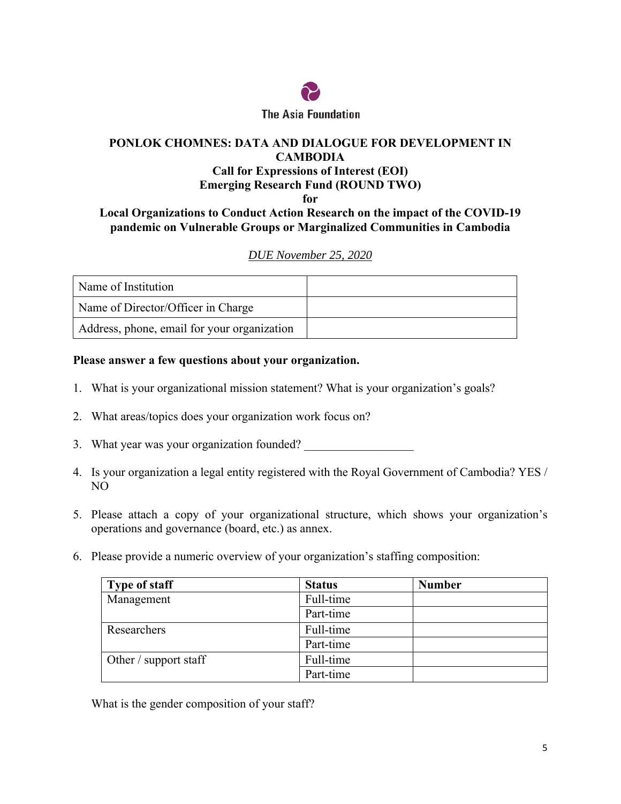

### **PONLOK CHOMNES: DATA AND DIALOGUE FOR DEVELOPMENT IN CAMBODIA Call for Expressions of Interest (EOI) Emerging Research Fund (ROUND TWO) for**

### **Local Organizations to Conduct Action Research on the impact of the COVID-19 pandemic on Vulnerable Groups or Marginalized Communities in Cambodia**

### *DUE November 25, 2020*

| Name of Institution                         |  |
|---------------------------------------------|--|
| Name of Director/Officer in Charge          |  |
| Address, phone, email for your organization |  |

### **Please answer a few questions about your organization.**

- 1. What is your organizational mission statement? What is your organization's goals?
- 2. What areas/topics does your organization work focus on?
- 3. What year was your organization founded?
- 4. Is your organization a legal entity registered with the Royal Government of Cambodia? YES / NO
- 5. Please attach a copy of your organizational structure, which shows your organization's operations and governance (board, etc.) as annex.
- 6. Please provide a numeric overview of your organization's staffing composition:

| <b>Type of staff</b>  | <b>Status</b> | <b>Number</b> |
|-----------------------|---------------|---------------|
| Management            | Full-time     |               |
|                       | Part-time     |               |
| Researchers           | Full-time     |               |
|                       | Part-time     |               |
| Other / support staff | Full-time     |               |
|                       | Part-time     |               |

What is the gender composition of your staff?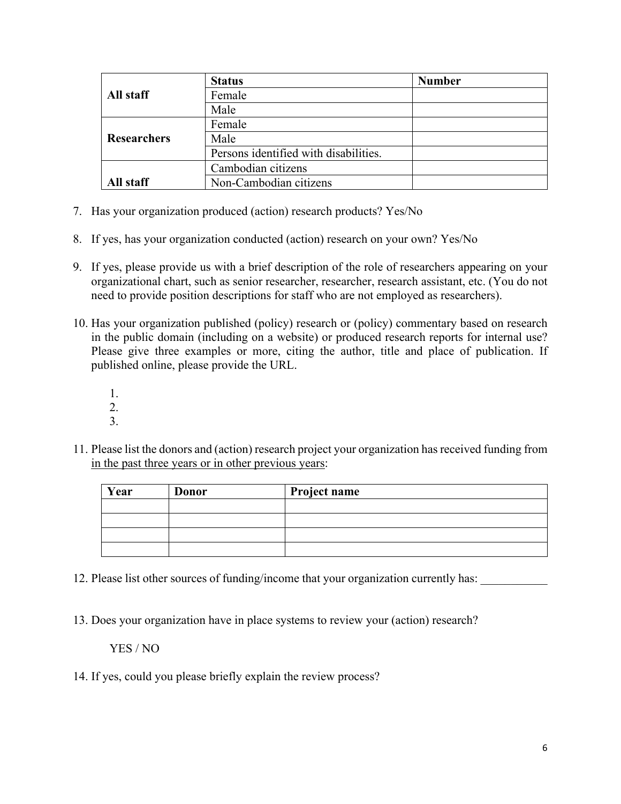|                                     | <b>Status</b>                         | <b>Number</b> |
|-------------------------------------|---------------------------------------|---------------|
| All staff                           | Female                                |               |
|                                     | Male                                  |               |
|                                     | Female                                |               |
| <b>Researchers</b>                  | Male                                  |               |
|                                     | Persons identified with disabilities. |               |
| Cambodian citizens                  |                                       |               |
| Non-Cambodian citizens<br>All staff |                                       |               |

- 7. Has your organization produced (action) research products? Yes/No
- 8. If yes, has your organization conducted (action) research on your own? Yes/No
- 9. If yes, please provide us with a brief description of the role of researchers appearing on your organizational chart, such as senior researcher, researcher, research assistant, etc. (You do not need to provide position descriptions for staff who are not employed as researchers).
- 10. Has your organization published (policy) research or (policy) commentary based on research in the public domain (including on a website) or produced research reports for internal use? Please give three examples or more, citing the author, title and place of publication. If published online, please provide the URL.
	- 1.
	- 2.
	- 3.
- 11. Please list the donors and (action) research project your organization has received funding from in the past three years or in other previous years:

| Year | <b>Donor</b> | Project name |
|------|--------------|--------------|
|      |              |              |
|      |              |              |
|      |              |              |
|      |              |              |

- 12. Please list other sources of funding/income that your organization currently has:
- 13. Does your organization have in place systems to review your (action) research?

#### YES / NO

14. If yes, could you please briefly explain the review process?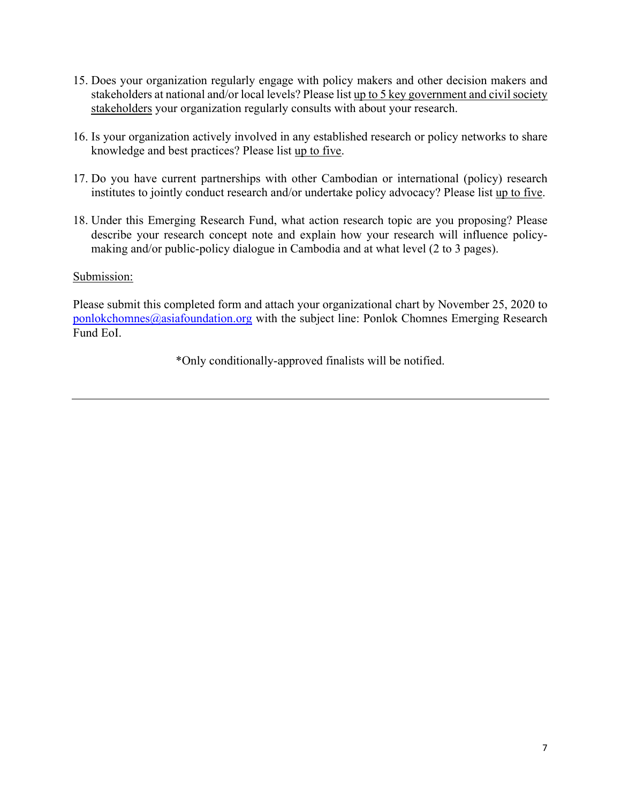- 15. Does your organization regularly engage with policy makers and other decision makers and stakeholders at national and/or local levels? Please list up to 5 key government and civil society stakeholders your organization regularly consults with about your research.
- 16. Is your organization actively involved in any established research or policy networks to share knowledge and best practices? Please list up to five.
- 17. Do you have current partnerships with other Cambodian or international (policy) research institutes to jointly conduct research and/or undertake policy advocacy? Please list up to five.
- 18. Under this Emerging Research Fund, what action research topic are you proposing? Please describe your research concept note and explain how your research will influence policymaking and/or public-policy dialogue in Cambodia and at what level (2 to 3 pages).

### Submission:

Please submit this completed form and attach your organizational chart by November 25, 2020 to ponlokchomnes@asiafoundation.org with the subject line: Ponlok Chomnes Emerging Research Fund EoI.

\*Only conditionally-approved finalists will be notified.